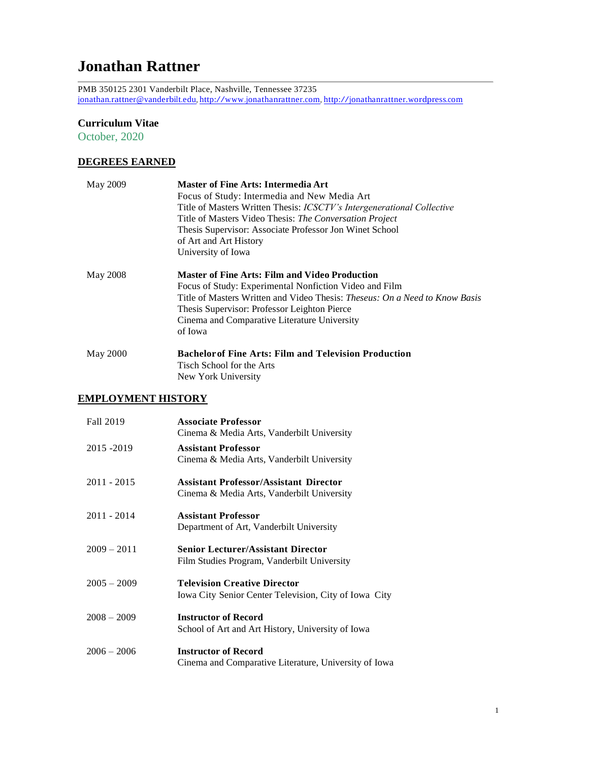# **Jonathan Rattner**

PMB 350125 2301 Vanderbilt Place, Nashville, Tennessee 37235 [jonathan.rattner@vanderbilt.edu,](mailto:jonathan.rattner@vanderbilt.edu) [http://www.jonathanrattner.com,](http://www.jonathanrattner.com/) [http://jonathanrattner.wordpress.com](http://jonathanrattner.wordpress.com/)

### **Curriculum Vitae**

October, 2020

## **DEGREES EARNED**

| May 2009        | <b>Master of Fine Arts: Intermedia Art</b><br>Focus of Study: Intermedia and New Media Art<br>Title of Masters Written Thesis: <i>ICSCTV's Intergenerational Collective</i><br>Title of Masters Video Thesis: The Conversation Project<br>Thesis Supervisor: Associate Professor Jon Winet School<br>of Art and Art History<br>University of Iowa |
|-----------------|---------------------------------------------------------------------------------------------------------------------------------------------------------------------------------------------------------------------------------------------------------------------------------------------------------------------------------------------------|
| May 2008        | <b>Master of Fine Arts: Film and Video Production</b><br>Focus of Study: Experimental Nonfiction Video and Film<br>Title of Masters Written and Video Thesis: <i>Theseus: On a Need to Know Basis</i><br>Thesis Supervisor: Professor Leighton Pierce<br>Cinema and Comparative Literature University<br>of Iowa                                  |
| <b>May 2000</b> | <b>Bachelor of Fine Arts: Film and Television Production</b><br>Tisch School for the Arts<br>New York University                                                                                                                                                                                                                                  |

## **EMPLOYMENT HISTORY**

| Fall 2019     | <b>Associate Professor</b><br>Cinema & Media Arts, Vanderbilt University                     |
|---------------|----------------------------------------------------------------------------------------------|
| 2015 - 2019   | <b>Assistant Professor</b><br>Cinema & Media Arts, Vanderbilt University                     |
| $2011 - 2015$ | <b>Assistant Professor/Assistant Director</b><br>Cinema & Media Arts, Vanderbilt University  |
| $2011 - 2014$ | <b>Assistant Professor</b><br>Department of Art, Vanderbilt University                       |
| $2009 - 2011$ | <b>Senior Lecturer/Assistant Director</b><br>Film Studies Program, Vanderbilt University     |
| $2005 - 2009$ | <b>Television Creative Director</b><br>Iowa City Senior Center Television, City of Iowa City |
| $2008 - 2009$ | <b>Instructor of Record</b><br>School of Art and Art History, University of Iowa             |
| $2006 - 2006$ | <b>Instructor of Record</b><br>Cinema and Comparative Literature, University of Iowa         |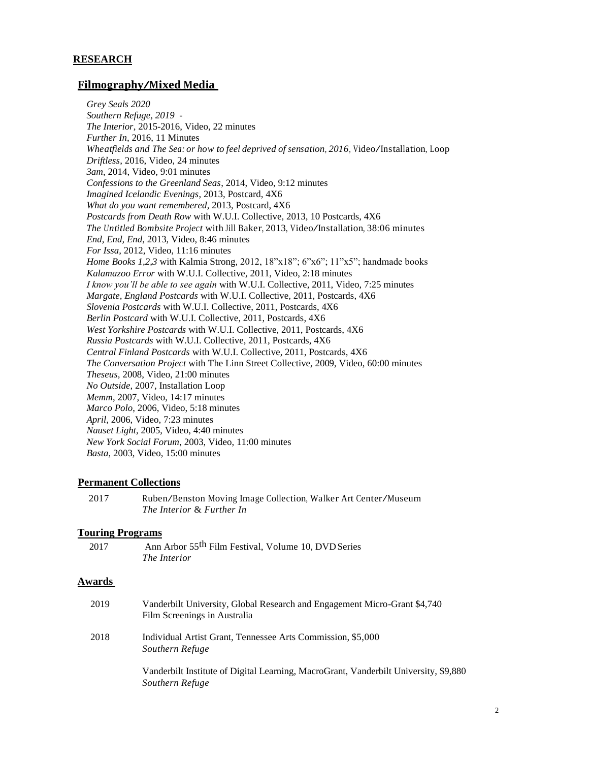#### **RESEARCH**

#### **Filmography/Mixed Media**

*Grey Seals 2020 Southern Refuge, 2019 - The Interior*, 2015-2016, Video, 22 minutes *Further In*, 2016, 11 Minutes *Wheatfields and The Sea: or how to feel deprived of sensation, 2016,* Video/Installation, Loop *Driftless*, 2016, Video, 24 minutes *3am*, 2014, Video, 9:01 minutes *Confessions to the Greenland Seas*, 2014, Video, 9:12 minutes *Imagined Icelandic Evenings*, 2013, Postcard, 4X6 *What do you want remembered*, 2013, Postcard, 4X6 *Postcards from Death Row* with W.U.I. Collective, 2013, 10 Postcards, 4X6 *The Untitled Bombsite Project* with Jill Baker, 2013, Video/Installation, 38:06 minutes *End, End, End*, 2013, Video, 8:46 minutes *For Issa*, 2012, Video, 11:16 minutes *Home Books 1,2,3* with Kalmia Strong*,* 2012, 18"x18"; 6"x6"; 11"x5"; handmade books *Kalamazoo Error* with W.U.I. Collective*,* 2011, Video, 2:18 minutes *I know you'll be able to see again* with W.U.I. Collective, 2011, Video, 7:25 minutes *Margate, England Postcards* with W.U.I. Collective, 2011, Postcards, 4X6 *Slovenia Postcards* with W.U.I. Collective, 2011, Postcards, 4X6 *Berlin Postcard* with W.U.I. Collective, 2011, Postcards, 4X6 *West Yorkshire Postcards* with W.U.I. Collective, 2011, Postcards, 4X6 *Russia Postcards* with W.U.I. Collective, 2011, Postcards, 4X6 *Central Finland Postcards* with W.U.I. Collective, 2011, Postcards, 4X6 *The Conversation Project* with The Linn Street Collective, 2009, Video, 60:00 minutes *Theseus,* 2008, Video, 21:00 minutes *No Outside*, 2007, Installation Loop *Memm*, 2007, Video, 14:17 minutes *Marco Polo*, 2006, Video, 5:18 minutes *April,* 2006, Video, 7:23 minutes *Nauset Light*, 2005, Video, 4:40 minutes *New York Social Forum*, 2003, Video, 11:00 minutes *Basta,* 2003, Video, 15:00 minutes

#### **Permanent Collections**

<sup>2017</sup> Ruben/Benston Moving Image Collection, Walker Art Center/Museum *The Interior* & *Further In*

#### **Touring Programs**

| 2017 | Ann Arbor 55 <sup>th</sup> Film Festival, Volume 10, DVD Series |
|------|-----------------------------------------------------------------|
|      | <i>The Interior</i>                                             |

#### **Awards**

| 2019 | Vanderbilt University, Global Research and Engagement Micro-Grant \$4,740<br>Film Screenings in Australia |
|------|-----------------------------------------------------------------------------------------------------------|
| 2018 | Individual Artist Grant, Tennessee Arts Commission, \$5,000<br>Southern Refuge                            |
|      | Vanderbilt Institute of Digital Learning, MacroGrant, Vanderbilt University, \$9,880<br>Southern Refuge   |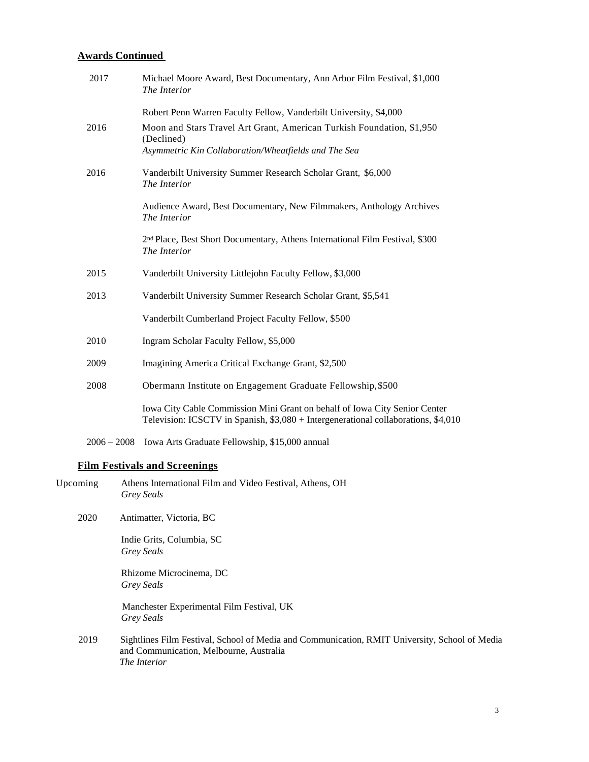#### **Awards Continued**

| 2017 | Michael Moore Award, Best Documentary, Ann Arbor Film Festival, \$1,000<br>The Interior                                                                          |
|------|------------------------------------------------------------------------------------------------------------------------------------------------------------------|
|      | Robert Penn Warren Faculty Fellow, Vanderbilt University, \$4,000                                                                                                |
| 2016 | Moon and Stars Travel Art Grant, American Turkish Foundation, \$1,950<br>(Declined)<br>Asymmetric Kin Collaboration/Wheatfields and The Sea                      |
| 2016 | Vanderbilt University Summer Research Scholar Grant, \$6,000<br>The Interior                                                                                     |
|      | Audience Award, Best Documentary, New Filmmakers, Anthology Archives<br>The Interior                                                                             |
|      | 2 <sup>nd</sup> Place, Best Short Documentary, Athens International Film Festival, \$300<br>The Interior                                                         |
| 2015 | Vanderbilt University Littlejohn Faculty Fellow, \$3,000                                                                                                         |
| 2013 | Vanderbilt University Summer Research Scholar Grant, \$5,541                                                                                                     |
|      | Vanderbilt Cumberland Project Faculty Fellow, \$500                                                                                                              |
| 2010 | Ingram Scholar Faculty Fellow, \$5,000                                                                                                                           |
| 2009 | Imagining America Critical Exchange Grant, \$2,500                                                                                                               |
| 2008 | Obermann Institute on Engagement Graduate Fellowship, \$500                                                                                                      |
|      | Iowa City Cable Commission Mini Grant on behalf of Iowa City Senior Center<br>Television: ICSCTV in Spanish, \$3,080 + Intergenerational collaborations, \$4,010 |
|      |                                                                                                                                                                  |

2006 – 2008 Iowa Arts Graduate Fellowship, \$15,000 annual

### **Film Festivals and Screenings**

| Upcoming | Athens International Film and Video Festival, Athens, OH |
|----------|----------------------------------------------------------|
|          | <b>Grey Seals</b>                                        |

2020 Antimatter, Victoria, BC

Indie Grits, Columbia, SC *Grey Seals*

Rhizome Microcinema, DC *Grey Seals*

 Manchester Experimental Film Festival, UK *Grey Seals*

2019 Sightlines Film Festival, School of Media and Communication, RMIT University, School of Media and Communication, Melbourne, Australia *The Interior*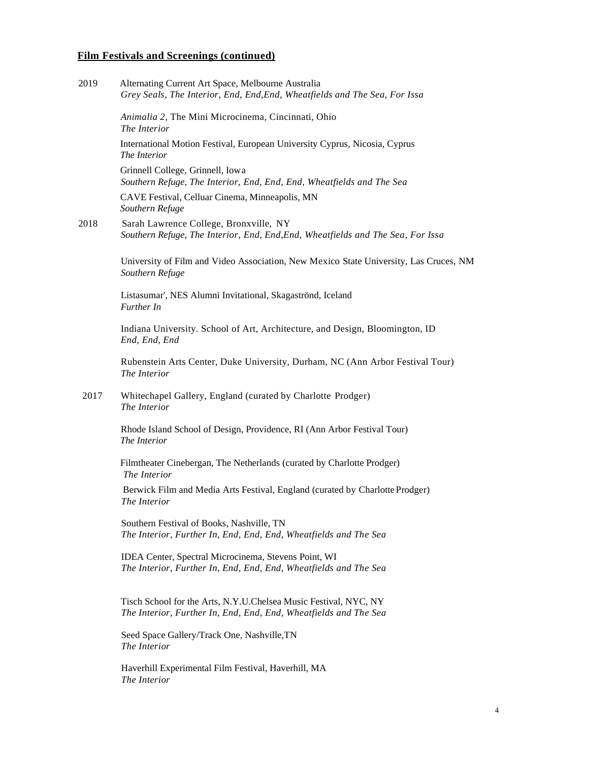| 2019 | Alternating Current Art Space, Melbourne Australia<br>Grey Seals, The Interior, End, End, End, Wheatfields and The Sea, For Issa     |
|------|--------------------------------------------------------------------------------------------------------------------------------------|
|      | Animalia 2, The Mini Microcinema, Cincinnati, Ohio<br>The Interior                                                                   |
|      | International Motion Festival, European University Cyprus, Nicosia, Cyprus<br><i>The Interior</i>                                    |
|      | Grinnell College, Grinnell, Iowa<br>Southern Refuge, The Interior, End, End, End, Wheatfields and The Sea                            |
|      | CAVE Festival, Celluar Cinema, Minneapolis, MN<br>Southern Refuge                                                                    |
| 2018 | Sarah Lawrence College, Bronxville, NY<br>Southern Refuge, The Interior, End, End, End, Wheatfields and The Sea, For Issa            |
|      | University of Film and Video Association, New Mexico State University, Las Cruces, NM<br>Southern Refuge                             |
|      | Listasumar', NES Alumni Invitational, Skagaströnd, Iceland<br>Further In                                                             |
|      | Indiana University. School of Art, Architecture, and Design, Bloomington, ID<br>End, End, End                                        |
|      | Rubenstein Arts Center, Duke University, Durham, NC (Ann Arbor Festival Tour)<br>The Interior                                        |
| 2017 | Whitechapel Gallery, England (curated by Charlotte Prodger)<br>The Interior                                                          |
|      | Rhode Island School of Design, Providence, RI (Ann Arbor Festival Tour)<br>The Interior                                              |
|      | Filmtheater Cinebergan, The Netherlands (curated by Charlotte Prodger)<br>The Interior                                               |
|      | Berwick Film and Media Arts Festival, England (curated by Charlotte Prodger)<br>The Interior                                         |
|      | Southern Festival of Books, Nashville, TN<br>The Interior, Further In, End, End, End, Wheatfields and The Sea                        |
|      | IDEA Center, Spectral Microcinema, Stevens Point, WI<br>The Interior, Further In, End, End, End, Wheatfields and The Sea             |
|      | Tisch School for the Arts, N.Y.U.Chelsea Music Festival, NYC, NY<br>The Interior, Further In, End, End, End, Wheatfields and The Sea |
|      | Seed Space Gallery/Track One, Nashville, TN<br>The Interior                                                                          |
|      | Haverhill Experimental Film Festival, Haverhill, MA<br>The Interior                                                                  |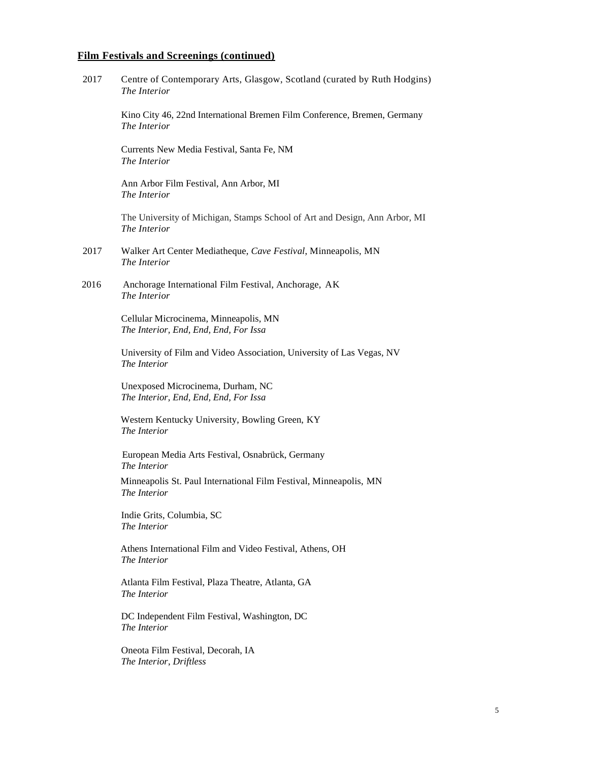| 2017 | Centre of Contemporary Arts, Glasgow, Scotland (curated by Ruth Hodgins)<br>The Interior   |
|------|--------------------------------------------------------------------------------------------|
|      | Kino City 46, 22nd International Bremen Film Conference, Bremen, Germany<br>The Interior   |
|      | Currents New Media Festival, Santa Fe, NM<br>The Interior                                  |
|      | Ann Arbor Film Festival, Ann Arbor, MI<br>The Interior                                     |
|      | The University of Michigan, Stamps School of Art and Design, Ann Arbor, MI<br>The Interior |
| 2017 | Walker Art Center Mediatheque, Cave Festival, Minneapolis, MN<br>The Interior              |
| 2016 | Anchorage International Film Festival, Anchorage, AK<br>The Interior                       |
|      | Cellular Microcinema, Minneapolis, MN<br>The Interior, End, End, End, For Issa             |
|      | University of Film and Video Association, University of Las Vegas, NV<br>The Interior      |
|      | Unexposed Microcinema, Durham, NC<br>The Interior, End, End, End, For Issa                 |
|      | Western Kentucky University, Bowling Green, KY<br>The Interior                             |
|      | European Media Arts Festival, Osnabrück, Germany<br>The Interior                           |
|      | Minneapolis St. Paul International Film Festival, Minneapolis, MN<br>The Interior          |
|      | Indie Grits, Columbia, SC<br>The Interior                                                  |
|      | Athens International Film and Video Festival, Athens, OH<br>The Interior                   |
|      | Atlanta Film Festival, Plaza Theatre, Atlanta, GA<br>The Interior                          |
|      | DC Independent Film Festival, Washington, DC<br>The Interior                               |
|      | Oneota Film Festival, Decorah, IA<br>The Interior, Driftless                               |
|      |                                                                                            |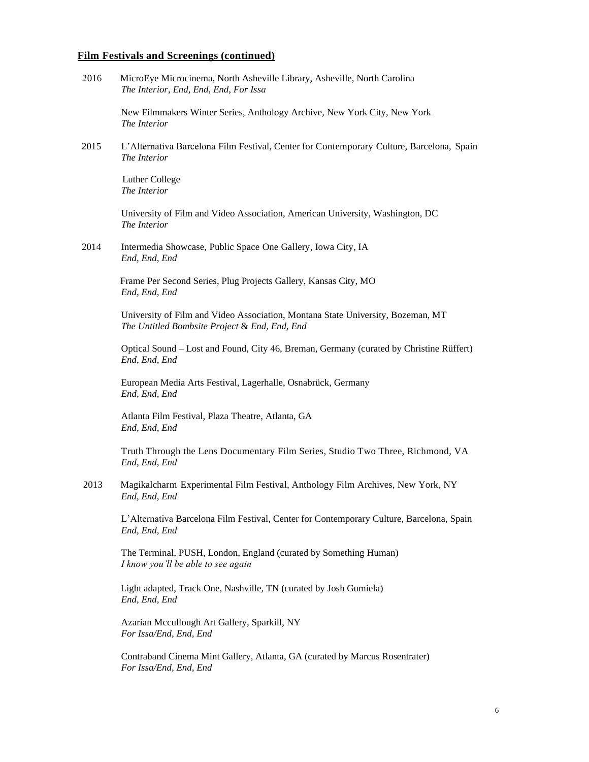| 2016 | MicroEye Microcinema, North Asheville Library, Asheville, North Carolina<br>The Interior, End, End, End, For Issa                |
|------|----------------------------------------------------------------------------------------------------------------------------------|
|      | New Filmmakers Winter Series, Anthology Archive, New York City, New York<br>The Interior                                         |
| 2015 | L'Alternativa Barcelona Film Festival, Center for Contemporary Culture, Barcelona, Spain<br>The Interior                         |
|      | Luther College<br>The Interior                                                                                                   |
|      | University of Film and Video Association, American University, Washington, DC<br>The Interior                                    |
| 2014 | Intermedia Showcase, Public Space One Gallery, Iowa City, IA<br>End, End, End                                                    |
|      | Frame Per Second Series, Plug Projects Gallery, Kansas City, MO<br>End, End, End                                                 |
|      | University of Film and Video Association, Montana State University, Bozeman, MT<br>The Untitled Bombsite Project & End, End, End |
|      | Optical Sound – Lost and Found, City 46, Breman, Germany (curated by Christine Rüffert)<br>End, End, End                         |
|      | European Media Arts Festival, Lagerhalle, Osnabrück, Germany<br>End, End, End                                                    |
|      | Atlanta Film Festival, Plaza Theatre, Atlanta, GA<br>End, End, End                                                               |
|      | Truth Through the Lens Documentary Film Series, Studio Two Three, Richmond, VA<br>End, End, End                                  |
| 2013 | Magikalcharm Experimental Film Festival, Anthology Film Archives, New York, NY<br>End, End, End                                  |
|      | L'Alternativa Barcelona Film Festival, Center for Contemporary Culture, Barcelona, Spain<br>End, End, End                        |
|      | The Terminal, PUSH, London, England (curated by Something Human)<br>I know you'll be able to see again                           |
|      | Light adapted, Track One, Nashville, TN (curated by Josh Gumiela)<br>End, End, End                                               |
|      | Azarian Mccullough Art Gallery, Sparkill, NY<br>For Issa/End, End, End                                                           |
|      | Contraband Cinema Mint Gallery, Atlanta, GA (curated by Marcus Rosentrater)<br>For Issa/End, End, End                            |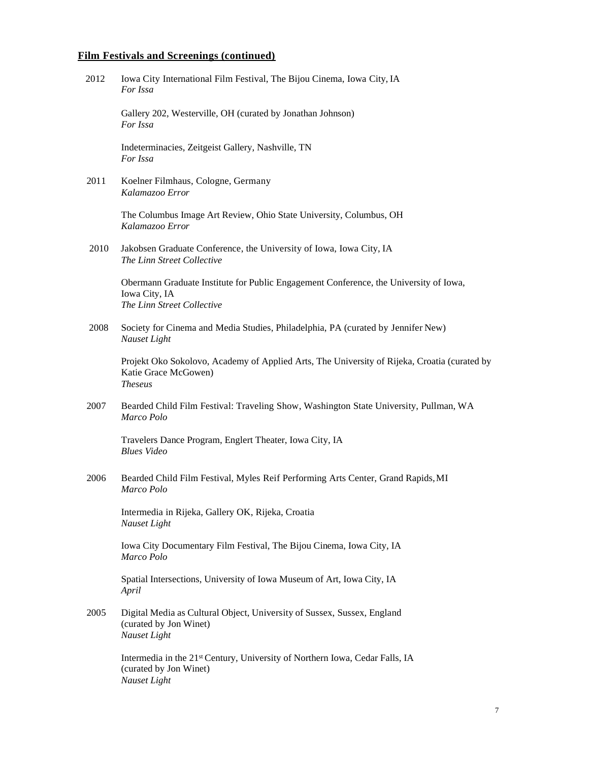2012 Iowa City International Film Festival, The Bijou Cinema, Iowa City, IA *For Issa*

> Gallery 202, Westerville, OH (curated by Jonathan Johnson) *For Issa*

Indeterminacies, Zeitgeist Gallery, Nashville, TN *For Issa*

2011 Koelner Filmhaus, Cologne, Germany *Kalamazoo Error*

> The Columbus Image Art Review, Ohio State University, Columbus, OH *Kalamazoo Error*

 2010 Jakobsen Graduate Conference, the University of Iowa, Iowa City, IA *The Linn Street Collective*

> Obermann Graduate Institute for Public Engagement Conference, the University of Iowa, Iowa City, IA *The Linn Street Collective*

2008 Society for Cinema and Media Studies, Philadelphia, PA (curated by Jennifer New) *Nauset Light*

Projekt Oko Sokolovo, Academy of Applied Arts, The University of Rijeka, Croatia (curated by Katie Grace McGowen) *Theseus*

2007 Bearded Child Film Festival: Traveling Show, Washington State University, Pullman, WA *Marco Polo*

Travelers Dance Program, Englert Theater, Iowa City, IA *Blues Video*

2006 Bearded Child Film Festival, Myles Reif Performing Arts Center, Grand Rapids,MI *Marco Polo*

Intermedia in Rijeka, Gallery OK, Rijeka, Croatia *Nauset Light*

Iowa City Documentary Film Festival, The Bijou Cinema, Iowa City, IA *Marco Polo*

Spatial Intersections, University of Iowa Museum of Art, Iowa City, IA *April*

2005 Digital Media as Cultural Object, University of Sussex, Sussex, England (curated by Jon Winet) *Nauset Light*

> Intermedia in the 21st Century, University of Northern Iowa, Cedar Falls, IA (curated by Jon Winet) *Nauset Light*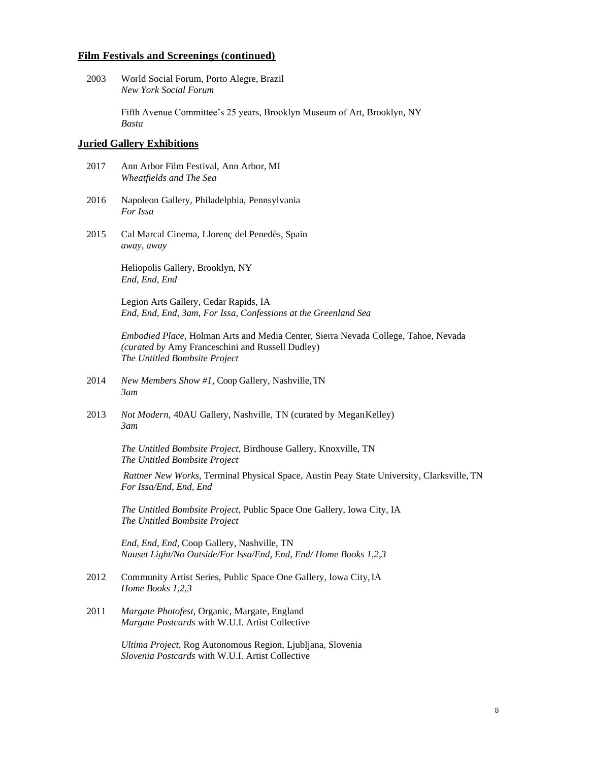2003 World Social Forum, Porto Alegre, Brazil *New York Social Forum*

> Fifth Avenue Committee's 25 years, Brooklyn Museum of Art, Brooklyn, NY *Basta*

#### **Juried Gallery Exhibitions**

- 2017 Ann Arbor Film Festival, Ann Arbor, MI *Wheatfields and The Sea*
- 2016 Napoleon Gallery, Philadelphia, Pennsylvania *For Issa*
- 2015 Cal Marcal Cinema, [Llorenç del Penedès,](http://www.llorenc.cat/) Spain *away, away*

Heliopolis Gallery, Brooklyn, NY *End, End, End*

Legion Arts Gallery, Cedar Rapids, IA *End, End, End, 3am, For Issa, Confessions at the Greenland Sea*

*Embodied Place,* Holman Arts and Media Center, Sierra Nevada College, Tahoe, Nevada *(curated by* Amy Franceschini and Russell Dudley) *The Untitled Bombsite Project*

- 2014 *New Members Show #1*, Coop Gallery, Nashville,TN *3am*
- 2013 *Not Modern,* 40AU Gallery, Nashville, TN (curated by MeganKelley) *3am*

*The Untitled Bombsite Project*, Birdhouse Gallery, Knoxville, TN *The Untitled Bombsite Project*

*Rattner New Works*, Terminal Physical Space, Austin Peay State University, Clarksville, TN *For Issa/End, End, End*

*The Untitled Bombsite Project*, Public Space One Gallery, Iowa City, IA *The Untitled Bombsite Project*

*End, End, End,* Coop Gallery, Nashville, TN *Nauset Light/No Outside/For Issa/End, End, End/ Home Books 1,2,3*

- 2012 Community Artist Series, Public Space One Gallery, Iowa City,IA *Home Books 1,2,3*
- 2011 *Margate Photofest*, Organic, Margate, England *Margate Postcards* with W.U.I. Artist Collective

*Ultima Project*, Rog Autonomous Region, Ljubljana, Slovenia *Slovenia Postcards* with W.U.I. Artist Collective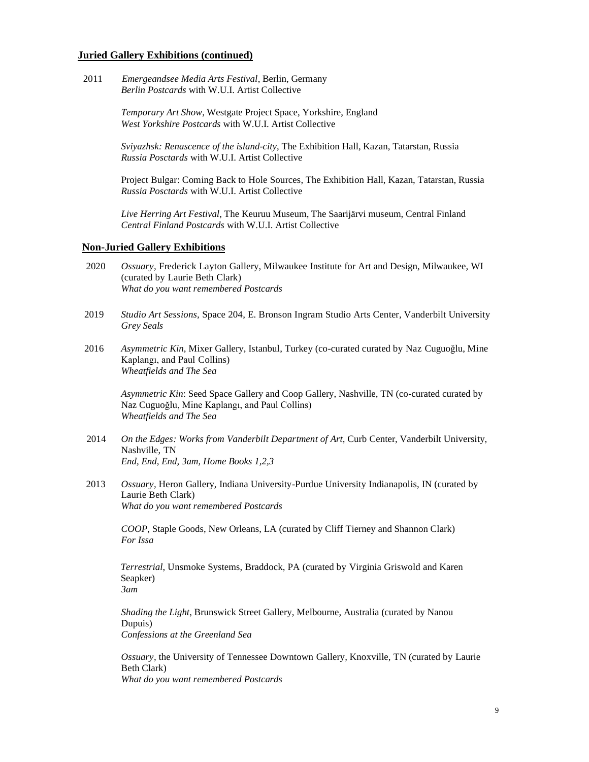#### **Juried Gallery Exhibitions (continued)**

 2011 *Emergeandsee Media Arts Festival*, Berlin, Germany *Berlin Postcards* with W.U.I. Artist Collective

> *Temporary Art Show*, Westgate Project Space, Yorkshire, England *West Yorkshire Postcards* with W.U.I. Artist Collective

*Sviyazhsk: Renascence of the island-city*, The Exhibition Hall, Kazan, Tatarstan, Russia *Russia Posctards* with W.U.I. Artist Collective

Project Bulgar: Coming Back to Hole Sources, The Exhibition Hall, Kazan, Tatarstan, Russia *Russia Posctards* with W.U.I. Artist Collective

*Live Herring Art Festival*, The Keuruu Museum, The Saarijärvi museum, Central Finland *Central Finland Postcards* with W.U.I. Artist Collective

#### **Non-Juried Gallery Exhibitions**

- 2020 *Ossuary,* Frederick Layton Gallery, Milwaukee Institute for Art and Design, Milwaukee, WI (curated by Laurie Beth Clark) *What do you want remembered Postcards*
- 2019 *Studio Art Sessions,* Space 204, E. Bronson Ingram Studio Arts Center, Vanderbilt University *Grey Seals*
- 2016 *Asymmetric Kin*, Mixer Gallery, Istanbul, Turkey (co-curated curated by Naz Cuguoğlu, Mine Kaplangı, and Paul Collins) *Wheatfields and The Sea*

*Asymmetric Kin*: Seed Space Gallery and Coop Gallery, Nashville, TN (co-curated curated by Naz Cuguoğlu, Mine Kaplangı, and Paul Collins) *Wheatfields and The Sea*

- 2014 *On the Edges: Works from Vanderbilt Department of Art, Curb Center, Vanderbilt University,* Nashville, TN *End, End, End, 3am, Home Books 1,2,3*
- 2013 *Ossuary,* Heron Gallery, Indiana University-Purdue University Indianapolis, IN (curated by Laurie Beth Clark) *What do you want remembered Postcards*

*COOP*, Staple Goods, New Orleans, LA (curated by Cliff Tierney and Shannon Clark) *For Issa*

*Terrestrial*, Unsmoke Systems, Braddock, PA (curated by Virginia Griswold and Karen Seapker) *3am*

*Shading the Light*, Brunswick Street Gallery, Melbourne, Australia (curated by Nanou Dupuis) *Confessions at the Greenland Sea*

*Ossuary,* the University of Tennessee Downtown Gallery*,* Knoxville, TN (curated by Laurie Beth Clark) *What do you want remembered Postcards*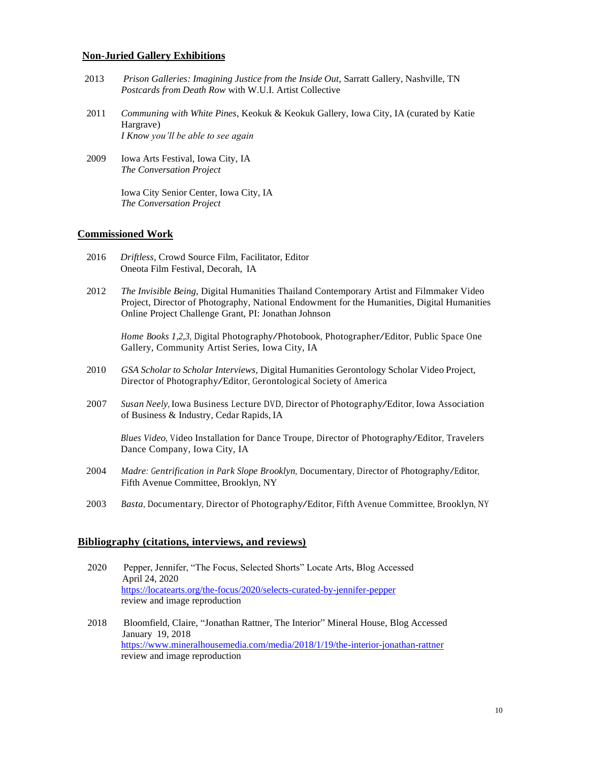#### **Non-Juried Gallery Exhibitions**

- 2013 *Prison Galleries: Imagining Justice from the Inside Out,* Sarratt Gallery, Nashville, TN *Postcards from Death Row* with W.U.I. Artist Collective
- 2011 *Communing with White Pines*, Keokuk & Keokuk Gallery, Iowa City, IA (curated by Katie Hargrave) *I Know you'll be able to see again*
- 2009 Iowa Arts Festival, Iowa City, IA *The Conversation Project*

Iowa City Senior Center, Iowa City, IA *The Conversation Project*

#### **Commissioned Work**

- 2016 *Driftless*, Crowd Source Film, Facilitator, Editor Oneota Film Festival, Decorah, IA
- 2012 *The Invisible Being,* Digital Humanities Thailand Contemporary Artist and Filmmaker Video Project, Director of Photography, National Endowment for the Humanities, Digital Humanities Online Project Challenge Grant, PI: Jonathan Johnson

*Home Books 1,2,3,* Digital Photography/Photobook, Photographer/Editor, Public Space One Gallery, Community Artist Series, Iowa City, IA

- 2010 *GSA Scholar to Scholar Interviews,* Digital Humanities Gerontology Scholar VideoProject, Director of Photography/Editor, Gerontological Society of America
- <sup>2007</sup> *Susan Neely*, Iowa Business Lecture DVD, Director of Photography/Editor, Iowa Association of Business & Industry, Cedar Rapids, IA

*Blues Video,* Video Installation for Dance Troupe, Director of Photography/Editor, Travelers Dance Company, Iowa City, IA

- <sup>2004</sup> *Madre: Gentrification in Park Slope Brooklyn*, Documentary, Director of Photography/Editor, Fifth Avenue Committee, Brooklyn, NY
- <sup>2003</sup> *Basta*, Documentary, Director of Photography/Editor, Fifth Avenue Committee, Brooklyn, NY

#### **Bibliography (citations, interviews, and reviews)**

| 2020 | Pepper, Jennifer, "The Focus, Selected Shorts" Locate Arts, Blog Accessed |
|------|---------------------------------------------------------------------------|
|      | April 24, 2020                                                            |
|      | https://locatearts.org/the-focus/2020/selects-curated-by-jennifer-pepper  |
|      | review and image reproduction                                             |
|      |                                                                           |

 2018 Bloomfield, Claire, "Jonathan Rattner, The Interior" Mineral House, Blog Accessed January 19, 2018 <https://www.mineralhousemedia.com/media/2018/1/19/the-interior-jonathan-rattner> review and image reproduction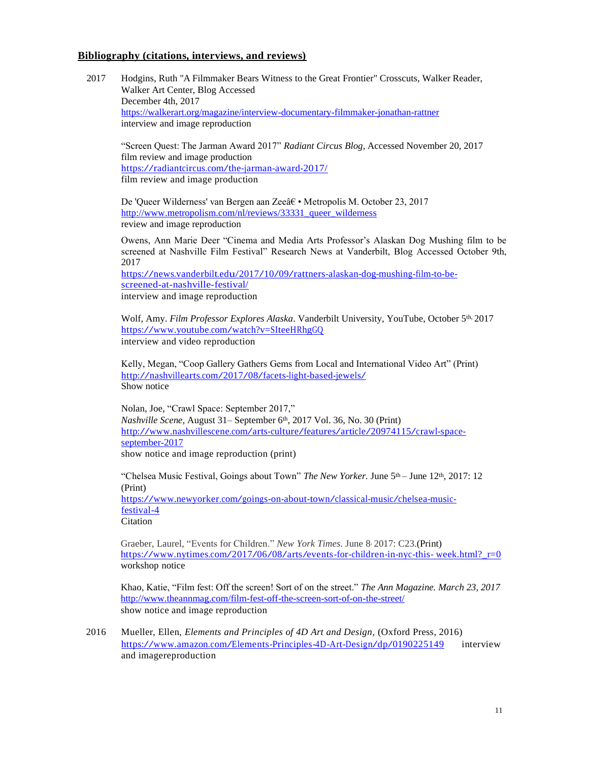#### **Bibliography (citations, interviews, and reviews)**

2017 Hodgins, Ruth "A Filmmaker Bears Witness to the Great Frontier" Crosscuts, Walker Reader, Walker Art Center, Blog Accessed December 4th, 2017 <https://walkerart.org/magazine/interview-documentary-filmmaker-jonathan-rattner> interview and image reproduction

"Screen Quest: The Jarman Award 2017" *Radiant Circus Blog*, Accessed November 20, 2017 film review and image production <https://radiantcircus.com/the-jarman-award-2017/> film review and image production

De 'Queer Wilderness' van Bergen aan Zee†• Metropolis M. October 23, 2017 [http://www.metropolism.com/nl/reviews/33331\\_queer\\_wilderness](http://www.metropolism.com/nl/reviews/33331_queer_wilderness) review and image reproduction

Owens, Ann Marie Deer "Cinema and Media Arts Professor's Alaskan Dog Mushing film to be screened at Nashville Film Festival" Research News at Vanderbilt, Blog Accessed October 9th, 2017

[https://news.vanderbilt.edu/2017/10/09/rattners-alaskan-dog-mushing-film-to-be](https://news.vanderbilt.edu/2017/10/09/rattners-alaskan-dog-mushing-film-to-be-screened-at-nashville-festival/)[screened-at-nashville-festival/](https://news.vanderbilt.edu/2017/10/09/rattners-alaskan-dog-mushing-film-to-be-screened-at-nashville-festival/) interview and image reproduction

Wolf, Amy. *Film Professor Explores Alaska*. Vanderbilt University, YouTube, October 5th, 2017 <https://www.youtube.com/watch?v=SIteeHRhgGQ> interview and video reproduction

Kelly, Megan, "Coop Gallery Gathers Gems from Local and International Video Art" (Print) <http://nashvillearts.com/2017/08/facets-light-based-jewels/> Show notice

Nolan, Joe, "Crawl Space: September 2017," *Nashville Scene*, August 31– September 6<sup>th</sup>, 2017 Vol. 36, No. 30 (Print) [http://www.nashvillescene.com/arts-culture/features/article/20974115/crawl-space](http://www.nashvillescene.com/arts-culture/features/article/20974115/crawl-space-september-2017)[september-2017](http://www.nashvillescene.com/arts-culture/features/article/20974115/crawl-space-september-2017)

show notice and image reproduction (print)

"Chelsea Music Festival, Goings about Town" *The New Yorker*. June 5<sup>th</sup> – June 12<sup>th</sup>, 2017: 12 (Print) [https://www.newyorker.com/goings-on-about-town/classical-music/chelsea-music](https://www.newyorker.com/goings-on-about-town/classical-music/chelsea-music-festival-4)[festival-4](https://www.newyorker.com/goings-on-about-town/classical-music/chelsea-music-festival-4)

Citation

Graeber, Laurel, "Events for Children." *New York Times.* June 8, 2017: C23.(Print) [https://www.nytimes.com/2017/06/08/arts/events-for-children-in-nyc-this-](https://www.nytimes.com/2017/06/08/arts/events-for-children-in-nyc-this-week.html?_r=0) week.html? r=0 workshop notice

Khao, Katie, "Film fest: Off the screen! Sort of on the street." *The Ann Magazine. March 23, 2017* <http://www.theannmag.com/film-fest-off-the-screen-sort-of-on-the-street/> show notice and image reproduction

2016 Mueller, Ellen, *Elements and Principles of 4D Art and Design,* (Oxford Press, 2016) <https://www.amazon.com/Elements-Principles-4D-Art-Design/dp/0190225149> interview and imagereproduction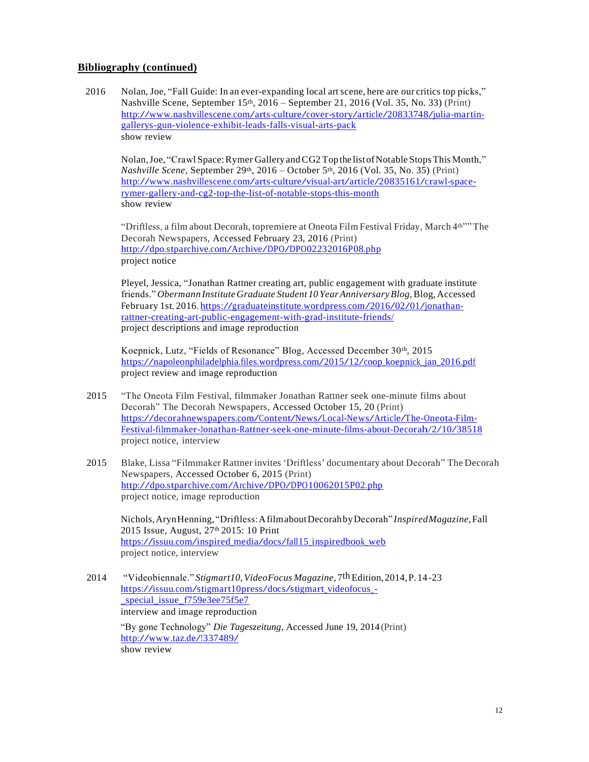#### **Bibliography (continued)**

 2016 Nolan, Joe, "Fall Guide: In an ever-expanding local art scene, here are our critics top picks," Nashville Scene, September  $15<sup>th</sup>$ ,  $2016$  – September 21, 2016 (Vol. 35, No. 33) (Print) [http://www.nashvillescene.com/arts-culture/cover-story/article/20833748/julia-martin](http://www.nashvillescene.com/arts-culture/cover-story/article/20833748/julia-martin-gallerys-gun-violence-exhibit-leads-falls-visual-arts-pack)[gallerys-gun-violence-exhibit-leads-falls-visual-arts-pack](http://www.nashvillescene.com/arts-culture/cover-story/article/20833748/julia-martin-gallerys-gun-violence-exhibit-leads-falls-visual-arts-pack) show review

Nolan, Joe, "Crawl Space: Rymer Gallery and CG2 Top the list of Notable Stops This Month," *Nashville Scene, September 29th, 2016 – October 5th, 2016 (Vol. 35, No. 35) (Print)* [http://www.nashvillescene.com/arts-culture/visual-art/article/20835161/crawl-space](http://www.nashvillescene.com/arts-culture/visual-art/article/20835161/crawl-space-rymer-gallery-and-cg2-top-the-list-of-notable-stops-this-month)[rymer-gallery-and-cg2-top-the-list-of-notable-stops-this-month](http://www.nashvillescene.com/arts-culture/visual-art/article/20835161/crawl-space-rymer-gallery-and-cg2-top-the-list-of-notable-stops-this-month) show review

"Driftless, a film about Decorah, topremiere at Oneota Film Festival Friday, March 4<sup>th""</sup> The Decorah Newspapers, Accessed February 23, 2016 (Print) <http://dpo.stparchive.com/Archive/DPO/DPO02232016P08.php> project notice

Pleyel, Jessica, "Jonathan Rattner creating art, public engagement with graduate institute friends."*Obermann InstituteGraduate Student 10YearAnniversaryBlog*,Blog, Accessed February 1st, 2016. [https://graduateinstitute.wordpress.com/2016/02/01/jonathan](https://graduateinstitute.wordpress.com/2016/02/01/jonathan-rattner-creating-art-public-engagement-with-grad-institute-friends/)[rattner-creating-art-public-engagement-with-grad-institute-friends/](https://graduateinstitute.wordpress.com/2016/02/01/jonathan-rattner-creating-art-public-engagement-with-grad-institute-friends/) project descriptions and image reproduction

Koepnick, Lutz, "Fields of Resonance" Blog, Accessed December 30th, 2015 [https://napoleonphiladelphia.files.wordpress.com/2015/12/coop\\_koepnick\\_jan\\_2016.pdf](https://napoleonphiladelphia.files.wordpress.com/2015/12/coop_koepnick_jan_2016.pdf) project review and image reproduction

- 2015 "The Oneota Film Festival, filmmaker Jonathan Rattner seek one-minute films about Decorah" The Decorah Newspapers, Accessed October 15, 20 (Print) [https://decorahnewspapers.com/Content/News/Local-News/Article/The-Oneota-Film-](https://decorahnewspapers.com/Content/News/Local-News/Article/The-Oneota-Film-Festival-filmmaker-Jonathan-Rattner-seek-one-minute-films-about-Decorah/2/10/38518)[Festival-filmmaker-Jonathan-Rattner-seek-one-minute-films-about-Decorah/2/10/38518](https://decorahnewspapers.com/Content/News/Local-News/Article/The-Oneota-Film-Festival-filmmaker-Jonathan-Rattner-seek-one-minute-films-about-Decorah/2/10/38518) project notice, interview
- 2015 Blake, Lissa "Filmmaker Rattner invites 'Driftless' documentary about Decorah" The Decorah Newspapers, Accessed October 6, 2015 (Print) <http://dpo.stparchive.com/Archive/DPO/DPO10062015P02.php> project notice, image reproduction

Nichols,ArynHenning,"Driftless:AfilmaboutDecorahbyDecorah" *InspiredMagazine,*Fall 2015 Issue*,* August, 27th 2015: 10 Print [https://issuu.com/inspired\\_media/docs/fall15\\_inspiredbook\\_web](https://issuu.com/inspired_media/docs/fall15_inspiredbook_web) project notice, interview

2014 "Videobiennale." *Stigmart10,VideoFocus Magazine*,7thEdition, 2014,P.14-23 [https://issuu.com/stigmart10press/docs/stigmart\\_videofocus\\_](https://issuu.com/stigmart10press/docs/stigmart_videofocus_-_special_issue_f759e3ee75f5e7) special issue f759e3ee75f5e7 interview and image reproduction

"By gone Technology" *Die Tageszeitung*, Accessed June 19, 2014 (Print) <http://www.taz.de/!337489/> show review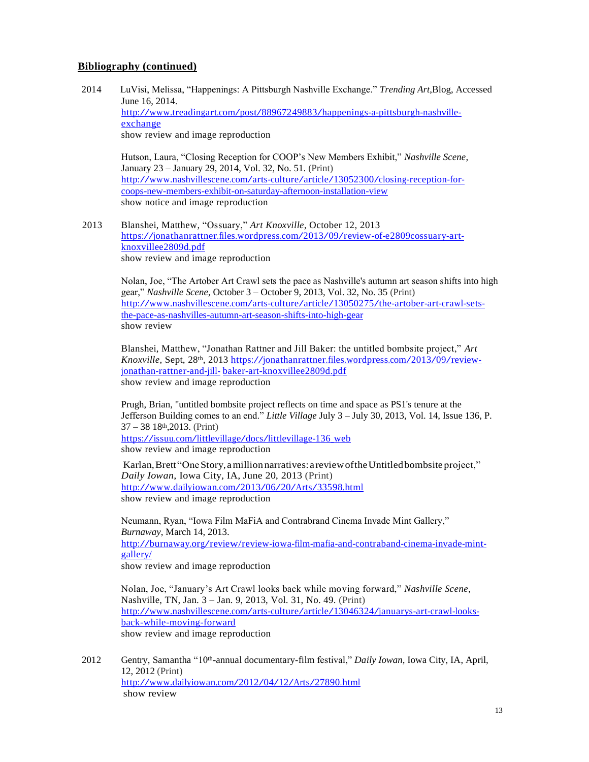#### **Bibliography (continued)**

 2014 LuVisi, Melissa, "Happenings: A Pittsburgh Nashville Exchange." *Trending Art*,Blog, Accessed June 16, 2014. [http://www.treadingart.com/post/88967249883/happenings-a-pittsburgh-nashville](http://www.treadingart.com/post/88967249883/happenings-a-pittsburgh-nashville-exchange)[exchange](http://www.treadingart.com/post/88967249883/happenings-a-pittsburgh-nashville-exchange) show review and image reproduction

Hutson, Laura, "Closing Reception for COOP's New Members Exhibit," *Nashville Scene*, January 23 – January 29, 2014, Vol. 32, No. 51. (Print) [http://www.nashvillescene.com/arts-culture/article/13052300/closing-reception-for](http://www.nashvillescene.com/arts-culture/article/13052300/closing-reception-for-coops-new-members-exhibit-on-saturday-afternoon-installation-view)[coops-new-members-exhibit-on-saturday-afternoon-installation-view](http://www.nashvillescene.com/arts-culture/article/13052300/closing-reception-for-coops-new-members-exhibit-on-saturday-afternoon-installation-view) show notice and image reproduction

2013 Blanshei, Matthew, "Ossuary," *Art Knoxville*, October 12, 2013 [https://jonathanrattner.files.wordpress.com/2013/09/review-of-e2809cossuary-art](https://jonathanrattner.files.wordpress.com/2013/09/review-of-e2809cossuary-art-knoxvillee2809d.pdf)[knoxvillee2809d.pdf](https://jonathanrattner.files.wordpress.com/2013/09/review-of-e2809cossuary-art-knoxvillee2809d.pdf) show review and image reproduction

Nolan, Joe, "The Artober Art Crawl sets the pace as Nashville's autumn art season shifts into high gear," *Nashville Scene*, October 3 – October 9, 2013, Vol. 32, No. 35 (Print) [http://www.nashvillescene.com/arts-culture/article/13050275/the-artober-art-crawl-sets](http://www.nashvillescene.com/arts-culture/article/13050275/the-artober-art-crawl-sets-the-pace-as-nashvilles-autumn-art-season-shifts-into-high-gear)[the-pace-as-nashvilles-autumn-art-season-shifts-into-high-gear](http://www.nashvillescene.com/arts-culture/article/13050275/the-artober-art-crawl-sets-the-pace-as-nashvilles-autumn-art-season-shifts-into-high-gear) show review

Blanshei, Matthew, "Jonathan Rattner and Jill Baker: the untitled bombsite project," *Art Knoxville*, Sept, 28th, 2013 [https://jonathanrattner.files.wordpress.com/2013/09/review](https://jonathanrattner.files.wordpress.com/2013/09/review-jonathan-rattner-and-jill-baker-art-knoxvillee2809d.pdf)[jonathan-rattner-and-jill-](https://jonathanrattner.files.wordpress.com/2013/09/review-jonathan-rattner-and-jill-baker-art-knoxvillee2809d.pdf) [baker-art-knoxvillee2809d.pdf](https://jonathanrattner.files.wordpress.com/2013/09/review-jonathan-rattner-and-jill-baker-art-knoxvillee2809d.pdf) show review and image reproduction

Prugh, Brian, "untitled bombsite project reflects on time and space as PS1's tenure at the Jefferson Building comes to an end." *Little Village* July 3 – July 30, 2013, Vol. 14, Issue 136, P.  $37 - 38$  18<sup>th</sup>, 2013. (Print)

[https://issuu.com/littlevillage/docs/littlevillage-136\\_web](https://issuu.com/littlevillage/docs/littlevillage-136_web) show review and image reproduction

Karlan,Brett"OneStory,amillionnarratives:a reviewoftheUntitledbombsite project," *Daily Iowan*, Iowa City, IA, June 20, 2013 (Print) <http://www.dailyiowan.com/2013/06/20/Arts/33598.html> show review and image reproduction

Neumann, Ryan, "Iowa Film MaFiA and Contrabrand Cinema Invade Mint Gallery," *Burnaway*, March 14, 2013. [http://burnaway.org/review/review-iowa-film-mafia-and-contraband-cinema-invade-mint](http://burnaway.org/review/review-iowa-film-mafia-and-contraband-cinema-invade-mint-gallery/)[gallery/](http://burnaway.org/review/review-iowa-film-mafia-and-contraband-cinema-invade-mint-gallery/)

show review and image reproduction

Nolan, Joe, "January's Art Crawl looks back while moving forward," *Nashville Scene*, Nashville, TN, Jan. 3 – Jan. 9, 2013, Vol. 31, No. 49. (Print) [http://www.nashvillescene.com/arts-culture/article/13046324/januarys-art-crawl-looks](http://www.nashvillescene.com/arts-culture/article/13046324/januarys-art-crawl-looks-back-while-moving-forward)[back-while-moving-forward](http://www.nashvillescene.com/arts-culture/article/13046324/januarys-art-crawl-looks-back-while-moving-forward) show review and image reproduction

2012 Gentry, Samantha "10th-annual documentary-film festival," *Daily Iowan,* Iowa City, IA, April, 12, 2012 (Print) <http://www.dailyiowan.com/2012/04/12/Arts/27890.html> show review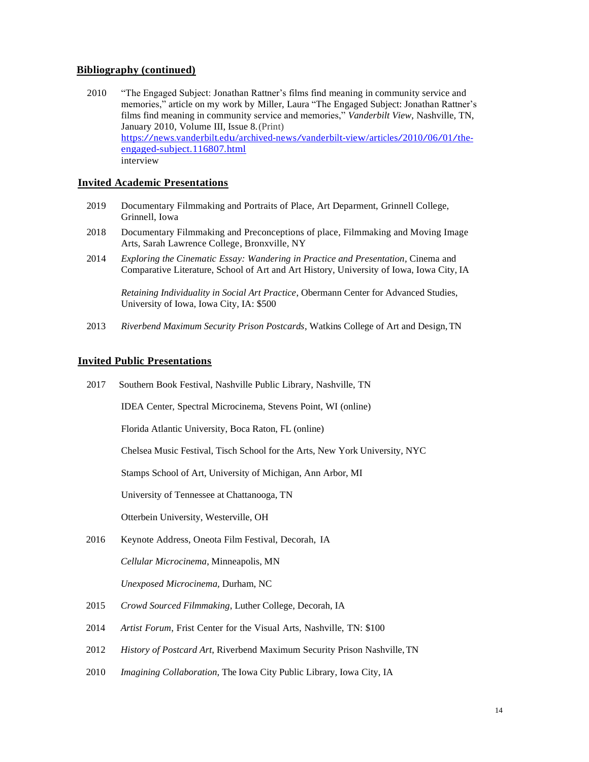#### **Bibliography (continued)**

 2010 "The Engaged Subject: Jonathan Rattner's films find meaning in community service and memories," article on my work by Miller, Laura "The Engaged Subject: Jonathan Rattner's films find meaning in community service and memories," *Vanderbilt View*, Nashville, TN, January 2010, Volume III, Issue 8.(Print) [https://news.vanderbilt.edu/archived-news/vanderbilt-view/articles/2010/06/01/the](https://news.vanderbilt.edu/archived-news/vanderbilt-view/articles/2010/06/01/the-engaged-subject.116807.html)[engaged-subject.116807.html](https://news.vanderbilt.edu/archived-news/vanderbilt-view/articles/2010/06/01/the-engaged-subject.116807.html) interview

#### **Invited Academic Presentations**

- 2019 Documentary Filmmaking and Portraits of Place, Art Deparment, Grinnell College, Grinnell, Iowa
- 2018 Documentary Filmmaking and Preconceptions of place, Filmmaking and Moving Image Arts, Sarah Lawrence College, Bronxville, NY
- 2014 *Exploring the Cinematic Essay: Wandering in Practice and Presentation,* Cinema and Comparative Literature, School of Art and Art History*,* University of Iowa, Iowa City, IA

*Retaining Individuality in Social Art Practice*, Obermann Center for Advanced Studies, University of Iowa, Iowa City, IA: \$500

2013 *Riverbend Maximum Security Prison Postcards*, Watkins College of Art and Design,TN

#### **Invited Public Presentations**

2017 Southern Book Festival, Nashville Public Library, Nashville, TN

IDEA Center, Spectral Microcinema, Stevens Point, WI (online)

Florida Atlantic University, Boca Raton, FL (online)

Chelsea Music Festival, Tisch School for the Arts, New York University, NYC

Stamps School of Art, University of Michigan, Ann Arbor, MI

University of Tennessee at Chattanooga, TN

Otterbein University, Westerville, OH

2016 Keynote Address, Oneota Film Festival, Decorah, IA

*Cellular Microcinema*, Minneapolis, MN

*Unexposed Microcinema,* Durham, NC

- 2015 *Crowd Sourced Filmmaking*, Luther College, Decorah, IA
- 2014 *Artist Forum*, Frist Center for the Visual Arts, Nashville, TN: \$100
- 2012 *History of Postcard Art*, Riverbend Maximum Security Prison Nashville,TN
- 2010 *Imagining Collaboration,* The Iowa City Public Library, Iowa City, IA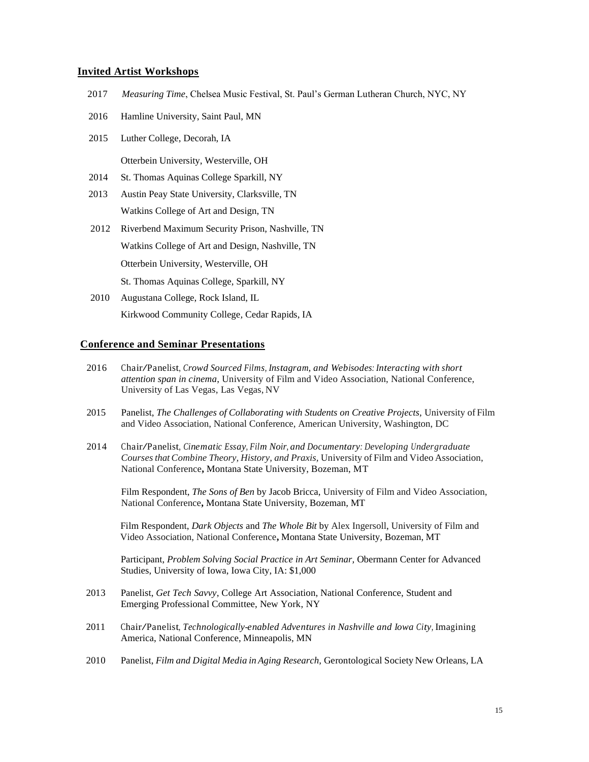#### **Invited Artist Workshops**

- 2017 *Measuring Time*, Chelsea Music Festival, St. Paul's German Lutheran Church, NYC, NY
- 2016 Hamline University, Saint Paul, MN
- 2015 Luther College, Decorah, IA

Otterbein University, Westerville, OH

- 2014 St. Thomas Aquinas College Sparkill, NY
- 2013 Austin Peay State University, Clarksville, TN Watkins College of Art and Design, TN
- 2012 Riverbend Maximum Security Prison, Nashville, TN Watkins College of Art and Design, Nashville, TN Otterbein University, Westerville, OH St. Thomas Aquinas College, Sparkill, NY
- 2010 Augustana College, Rock Island, IL Kirkwood Community College*,* Cedar Rapids, IA

#### **Conference and Seminar Presentations**

- <sup>2016</sup> Chair/Panelist, *Crowd Sourced Films, Instagram, and Webisodes: Interacting with short attention span in cinema*, University of Film and Video Association, National Conference, University of Las Vegas, Las Vegas, NV
- 2015 Panelist, *The Challenges of Collaborating with Students on Creative Projects*, University of Film and Video Association, National Conference, American University, Washington, DC
- <sup>2014</sup> Chair/Panelist, *Cinematic Essay, Film Noir, and Documentary: Developing Undergraduate Courses that Combine Theory, History, and Praxis, University of Film and Video Association,* National Conference**,** Montana State University, Bozeman, MT

Film Respondent, *The Sons of Ben* by Jacob Bricca, University of Film and Video Association, National Conference**,** Montana State University, Bozeman, MT

 Film Respondent, *Dark Objects* and *The Whole Bit* by Alex Ingersoll, University of Film and Video Association, National Conference**,** Montana State University, Bozeman, MT

Participant, *Problem Solving Social Practice in Art Seminar,* Obermann Center for Advanced Studies, University of Iowa, Iowa City, IA: \$1,000

- 2013 Panelist, *Get Tech Savvy*, College Art Association, National Conference, Student and Emerging Professional Committee, New York, NY
- <sup>2011</sup> Chair/Panelist, *Technologically-enabled Adventures in Nashville and Iowa City,* Imagining America, National Conference, Minneapolis, MN
- 2010 Panelist, *Film and Digital Media in Aging Research,* Gerontological Society New Orleans, LA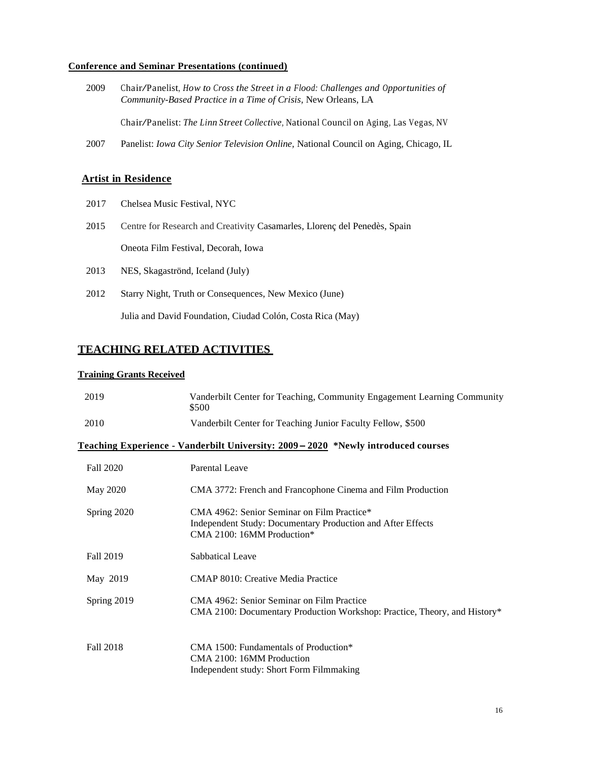#### **Conference and Seminar Presentations (continued)**

<sup>2009</sup> Chair/Panelist, *How to Cross the Street in <sup>a</sup> Flood: Challenges and Opportunities of Community-Based Practice in a Time of Crisis,* New Orleans, LA

Chair/Panelist: *The Linn Street Collective,* National Council on Aging, Las Vegas, NV

2007 Panelist: *Iowa City Senior Television Online,* National Council on Aging, Chicago, IL

#### **Artist in Residence**

- 2017 Chelsea Music Festival, NYC
- 2015 Centre for Research and Creativity Casamarles, Llorenç del Penedès, Spain Oneota Film Festival, Decorah, Iowa
- 2013 NES, Skagaströnd, Iceland (July)
- 2012 Starry Night, Truth or Consequences, New Mexico (June)

Julia and David Foundation, Ciudad Colón, Costa Rica (May)

### **TEACHING RELATED ACTIVITIES**

#### **Training Grants Received**

| 2019             | Vanderbilt Center for Teaching, Community Engagement Learning Community<br>\$500                                                        |
|------------------|-----------------------------------------------------------------------------------------------------------------------------------------|
| 2010             | Vanderbilt Center for Teaching Junior Faculty Fellow, \$500                                                                             |
|                  | Teaching Experience - Vanderbilt University: 2009 – 2020 *Newly introduced courses                                                      |
| <b>Fall 2020</b> | Parental Leave                                                                                                                          |
| May 2020         | CMA 3772: French and Francophone Cinema and Film Production                                                                             |
| Spring 2020      | CMA 4962: Senior Seminar on Film Practice*<br>Independent Study: Documentary Production and After Effects<br>CMA 2100: 16MM Production* |
| Fall 2019        | Sabbatical Leave                                                                                                                        |
| May 2019         | CMAP 8010: Creative Media Practice                                                                                                      |
| Spring 2019      | CMA 4962: Senior Seminar on Film Practice<br>CMA 2100: Documentary Production Workshop: Practice, Theory, and History*                  |
| <b>Fall 2018</b> | CMA 1500: Fundamentals of Production*<br>CMA 2100: 16MM Production<br>Independent study: Short Form Filmmaking                          |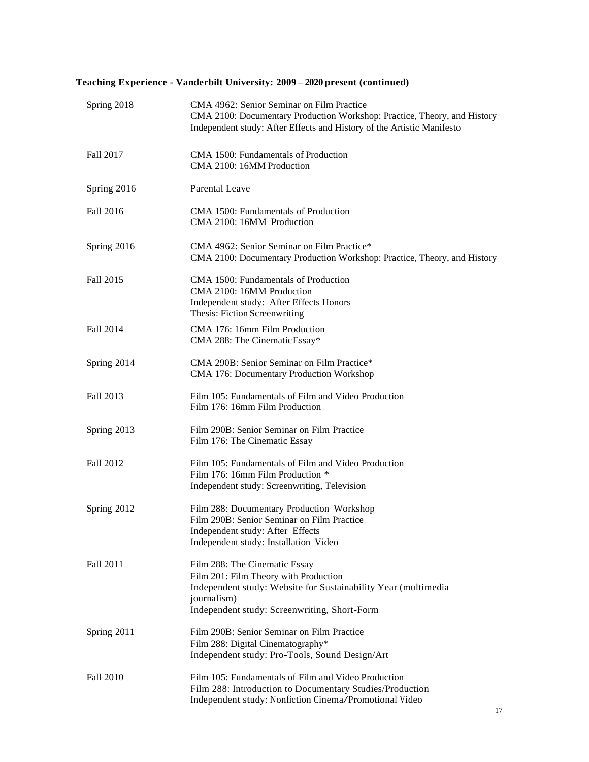## **Teaching Experience - Vanderbilt University: 2009 – 2020 present (continued)**

| Spring 2018 | CMA 4962: Senior Seminar on Film Practice<br>CMA 2100: Documentary Production Workshop: Practice, Theory, and History<br>Independent study: After Effects and History of the Artistic Manifesto         |
|-------------|---------------------------------------------------------------------------------------------------------------------------------------------------------------------------------------------------------|
| Fall 2017   | CMA 1500: Fundamentals of Production<br>CMA 2100: 16MM Production                                                                                                                                       |
| Spring 2016 | Parental Leave                                                                                                                                                                                          |
| Fall 2016   | CMA 1500: Fundamentals of Production<br>CMA 2100: 16MM Production                                                                                                                                       |
| Spring 2016 | CMA 4962: Senior Seminar on Film Practice*<br>CMA 2100: Documentary Production Workshop: Practice, Theory, and History                                                                                  |
| Fall 2015   | CMA 1500: Fundamentals of Production<br>CMA 2100: 16MM Production<br>Independent study: After Effects Honors<br>Thesis: Fiction Screenwriting                                                           |
| Fall 2014   | CMA 176: 16mm Film Production<br>CMA 288: The Cinematic Essay*                                                                                                                                          |
| Spring 2014 | CMA 290B: Senior Seminar on Film Practice*<br>CMA 176: Documentary Production Workshop                                                                                                                  |
| Fall 2013   | Film 105: Fundamentals of Film and Video Production<br>Film 176: 16mm Film Production                                                                                                                   |
| Spring 2013 | Film 290B: Senior Seminar on Film Practice<br>Film 176: The Cinematic Essay                                                                                                                             |
| Fall 2012   | Film 105: Fundamentals of Film and Video Production<br>Film 176: 16mm Film Production *<br>Independent study: Screenwriting, Television                                                                 |
| Spring 2012 | Film 288: Documentary Production Workshop<br>Film 290B: Senior Seminar on Film Practice<br>Independent study: After Effects<br>Independent study: Installation Video                                    |
| Fall 2011   | Film 288: The Cinematic Essay<br>Film 201: Film Theory with Production<br>Independent study: Website for Sustainability Year (multimedia<br>journalism)<br>Independent study: Screenwriting, Short-Form |
| Spring 2011 | Film 290B: Senior Seminar on Film Practice<br>Film 288: Digital Cinematography*<br>Independent study: Pro-Tools, Sound Design/Art                                                                       |
| Fall 2010   | Film 105: Fundamentals of Film and Video Production<br>Film 288: Introduction to Documentary Studies/Production<br>Independent study: Nonfiction Cinema/Promotional Video                               |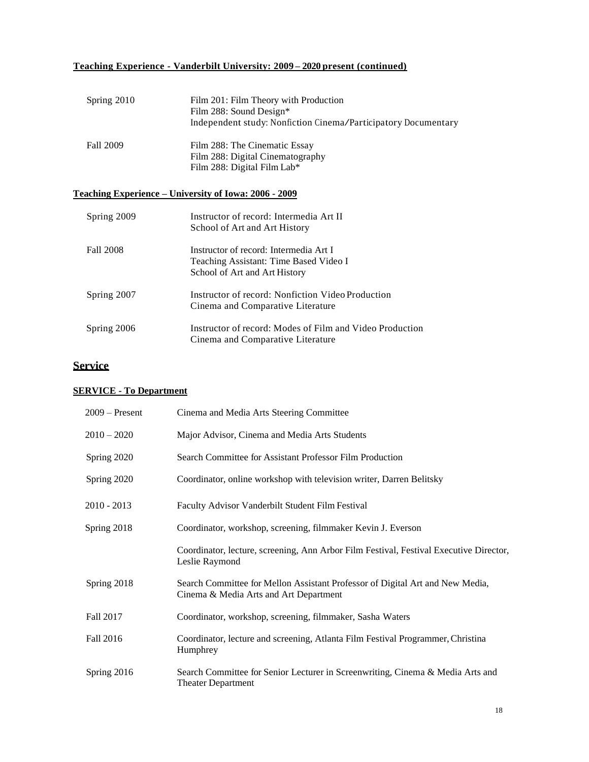## **Teaching Experience - Vanderbilt University: 2009 – 2020 present (continued)**

| Spring 2010 | Film 201: Film Theory with Production<br>Film 288: Sound Design*<br>Independent study: Nonfiction Cinema/Participatory Documentary |
|-------------|------------------------------------------------------------------------------------------------------------------------------------|
| Fall 2009   | Film 288: The Cinematic Essay<br>Film 288: Digital Cinematography<br>Film 288: Digital Film Lab*                                   |

## **Teaching Experience – University of Iowa: 2006 - 2009**

| Spring 2009 | Instructor of record: Intermedia Art II<br>School of Art and Art History                                          |
|-------------|-------------------------------------------------------------------------------------------------------------------|
| Fall 2008   | Instructor of record: Intermedia Art I<br>Teaching Assistant: Time Based Video I<br>School of Art and Art History |
| Spring 2007 | Instructor of record: Nonfiction Video Production<br>Cinema and Comparative Literature                            |
| Spring 2006 | Instructor of record: Modes of Film and Video Production<br>Cinema and Comparative Literature                     |

## **Service**

## **SERVICE - To Department**

| $2009 -$ Present | Cinema and Media Arts Steering Committee                                                                                |
|------------------|-------------------------------------------------------------------------------------------------------------------------|
| $2010 - 2020$    | Major Advisor, Cinema and Media Arts Students                                                                           |
| Spring 2020      | Search Committee for Assistant Professor Film Production                                                                |
| Spring 2020      | Coordinator, online workshop with television writer, Darren Belitsky                                                    |
| $2010 - 2013$    | Faculty Advisor Vanderbilt Student Film Festival                                                                        |
| Spring 2018      | Coordinator, workshop, screening, filmmaker Kevin J. Everson                                                            |
|                  | Coordinator, lecture, screening, Ann Arbor Film Festival, Festival Executive Director,<br>Leslie Raymond                |
| Spring 2018      | Search Committee for Mellon Assistant Professor of Digital Art and New Media,<br>Cinema & Media Arts and Art Department |
| Fall 2017        | Coordinator, workshop, screening, filmmaker, Sasha Waters                                                               |
| Fall 2016        | Coordinator, lecture and screening, Atlanta Film Festival Programmer, Christina<br>Humphrey                             |
| Spring 2016      | Search Committee for Senior Lecturer in Screenwriting, Cinema & Media Arts and<br><b>Theater Department</b>             |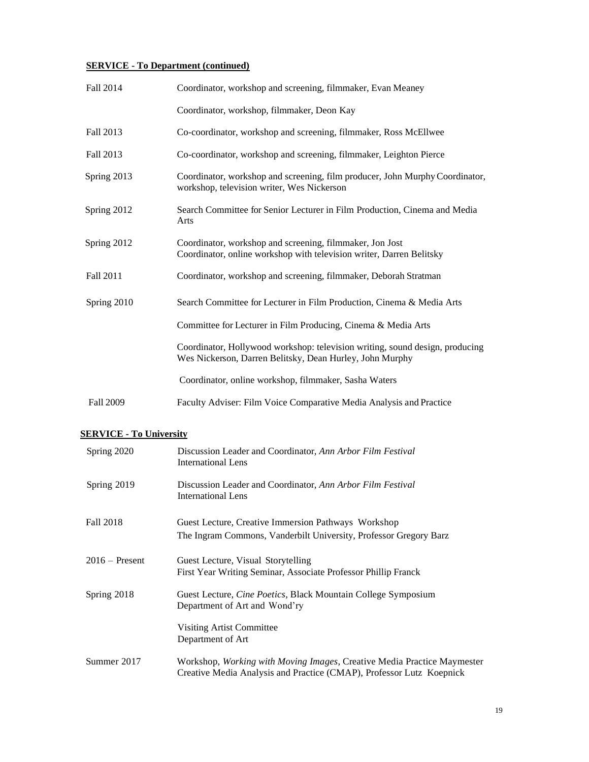## **SERVICE - To Department (continued)**

| Fall 2014        | Coordinator, workshop and screening, filmmaker, Evan Meaney                                                                              |
|------------------|------------------------------------------------------------------------------------------------------------------------------------------|
|                  | Coordinator, workshop, filmmaker, Deon Kay                                                                                               |
| Fall 2013        | Co-coordinator, workshop and screening, filmmaker, Ross McEllwee                                                                         |
| Fall 2013        | Co-coordinator, workshop and screening, filmmaker, Leighton Pierce                                                                       |
| Spring 2013      | Coordinator, workshop and screening, film producer, John Murphy Coordinator,<br>workshop, television writer, Wes Nickerson               |
| Spring 2012      | Search Committee for Senior Lecturer in Film Production, Cinema and Media<br>Arts                                                        |
| Spring 2012      | Coordinator, workshop and screening, filmmaker, Jon Jost<br>Coordinator, online workshop with television writer, Darren Belitsky         |
| Fall 2011        | Coordinator, workshop and screening, filmmaker, Deborah Stratman                                                                         |
| Spring 2010      | Search Committee for Lecturer in Film Production, Cinema & Media Arts                                                                    |
|                  | Committee for Lecturer in Film Producing, Cinema & Media Arts                                                                            |
|                  | Coordinator, Hollywood workshop: television writing, sound design, producing<br>Wes Nickerson, Darren Belitsky, Dean Hurley, John Murphy |
|                  | Coordinator, online workshop, filmmaker, Sasha Waters                                                                                    |
| <b>Fall 2009</b> | Faculty Adviser: Film Voice Comparative Media Analysis and Practice                                                                      |

### **SERVICE - To University**

| Spring 2020      | Discussion Leader and Coordinator, Ann Arbor Film Festival<br>International Lens                                                                        |
|------------------|---------------------------------------------------------------------------------------------------------------------------------------------------------|
| Spring 2019      | Discussion Leader and Coordinator, Ann Arbor Film Festival<br>International Lens                                                                        |
| Fall 2018        | Guest Lecture, Creative Immersion Pathways Workshop<br>The Ingram Commons, Vanderbilt University, Professor Gregory Barz                                |
| $2016$ – Present | Guest Lecture, Visual Storytelling<br>First Year Writing Seminar, Associate Professor Phillip Franck                                                    |
| Spring 2018      | Guest Lecture, <i>Cine Poetics</i> , Black Mountain College Symposium<br>Department of Art and Wond'ry                                                  |
|                  | Visiting Artist Committee<br>Department of Art                                                                                                          |
| Summer 2017      | Workshop, <i>Working with Moving Images</i> , Creative Media Practice Maymester<br>Creative Media Analysis and Practice (CMAP), Professor Lutz Koepnick |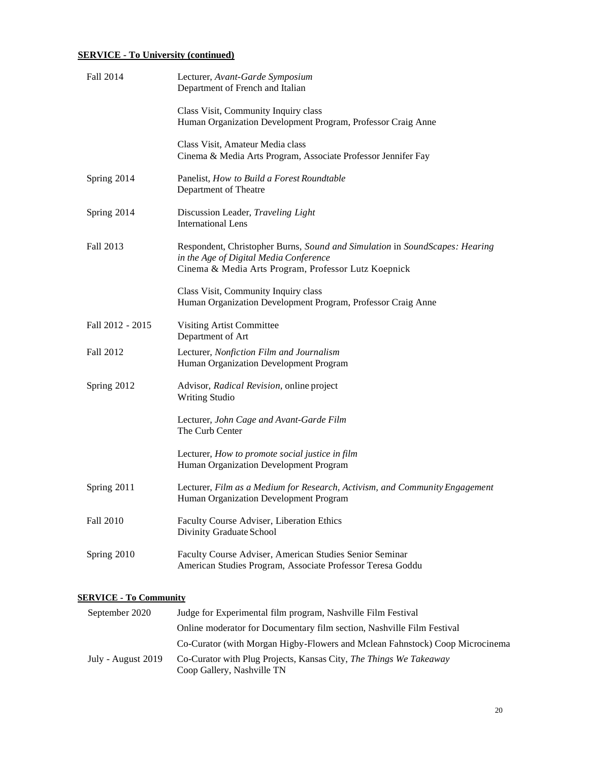## **SERVICE - To University (continued)**

| Fall 2014        | Lecturer, Avant-Garde Symposium<br>Department of French and Italian                                                                                                           |
|------------------|-------------------------------------------------------------------------------------------------------------------------------------------------------------------------------|
|                  | Class Visit, Community Inquiry class<br>Human Organization Development Program, Professor Craig Anne                                                                          |
|                  | Class Visit, Amateur Media class<br>Cinema & Media Arts Program, Associate Professor Jennifer Fay                                                                             |
| Spring 2014      | Panelist, How to Build a Forest Roundtable<br>Department of Theatre                                                                                                           |
| Spring 2014      | Discussion Leader, Traveling Light<br><b>International Lens</b>                                                                                                               |
| Fall 2013        | Respondent, Christopher Burns, Sound and Simulation in SoundScapes: Hearing<br>in the Age of Digital Media Conference<br>Cinema & Media Arts Program, Professor Lutz Koepnick |
|                  | Class Visit, Community Inquiry class<br>Human Organization Development Program, Professor Craig Anne                                                                          |
| Fall 2012 - 2015 | Visiting Artist Committee<br>Department of Art                                                                                                                                |
| Fall 2012        | Lecturer, Nonfiction Film and Journalism<br>Human Organization Development Program                                                                                            |
| Spring 2012      | Advisor, Radical Revision, online project<br><b>Writing Studio</b>                                                                                                            |
|                  | Lecturer, John Cage and Avant-Garde Film<br>The Curb Center                                                                                                                   |
|                  | Lecturer, How to promote social justice in film<br>Human Organization Development Program                                                                                     |
| Spring 2011      | Lecturer, Film as a Medium for Research, Activism, and Community Engagement<br>Human Organization Development Program                                                         |
| Fall 2010        | Faculty Course Adviser, Liberation Ethics<br>Divinity Graduate School                                                                                                         |
| Spring 2010      | Faculty Course Adviser, American Studies Senior Seminar<br>American Studies Program, Associate Professor Teresa Goddu                                                         |

#### **SERVICE - To Community**

| September 2020     | Judge for Experimental film program, Nashville Film Festival                                     |
|--------------------|--------------------------------------------------------------------------------------------------|
|                    | Online moderator for Documentary film section, Nashville Film Festival                           |
|                    | Co-Curator (with Morgan Higby-Flowers and Mclean Fahnstock) Coop Microcinema                     |
| July - August 2019 | Co-Curator with Plug Projects, Kansas City, The Things We Takeaway<br>Coop Gallery, Nashville TN |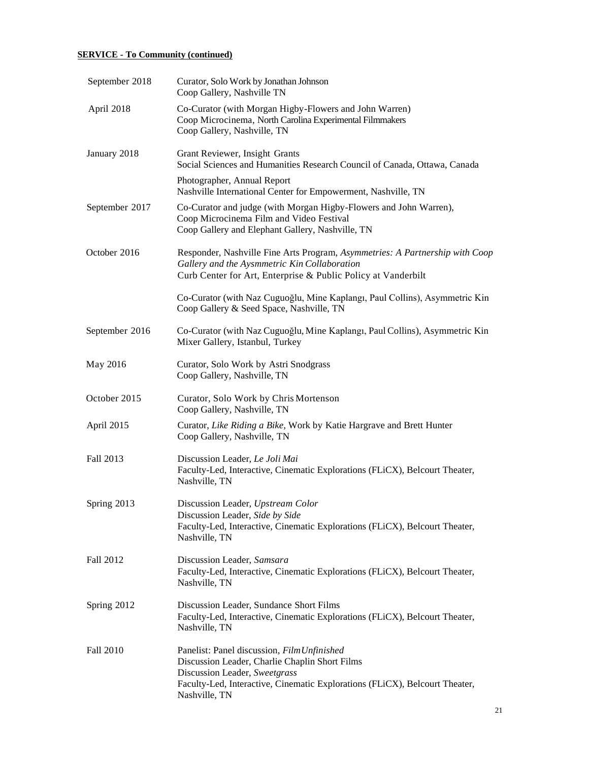## **SERVICE - To Community (continued)**

| September 2018 | Curator, Solo Work by Jonathan Johnson<br>Coop Gallery, Nashville TN                                                                                                                                                           |
|----------------|--------------------------------------------------------------------------------------------------------------------------------------------------------------------------------------------------------------------------------|
| April 2018     | Co-Curator (with Morgan Higby-Flowers and John Warren)<br>Coop Microcinema, North Carolina Experimental Filmmakers<br>Coop Gallery, Nashville, TN                                                                              |
| January 2018   | Grant Reviewer, Insight Grants<br>Social Sciences and Humanities Research Council of Canada, Ottawa, Canada                                                                                                                    |
|                | Photographer, Annual Report<br>Nashville International Center for Empowerment, Nashville, TN                                                                                                                                   |
| September 2017 | Co-Curator and judge (with Morgan Higby-Flowers and John Warren),<br>Coop Microcinema Film and Video Festival<br>Coop Gallery and Elephant Gallery, Nashville, TN                                                              |
| October 2016   | Responder, Nashville Fine Arts Program, Asymmetries: A Partnership with Coop<br>Gallery and the Aysmmetric Kin Collaboration<br>Curb Center for Art, Enterprise & Public Policy at Vanderbilt                                  |
|                | Co-Curator (with Naz Cuguoğlu, Mine Kaplangı, Paul Collins), Asymmetric Kin<br>Coop Gallery & Seed Space, Nashville, TN                                                                                                        |
| September 2016 | Co-Curator (with Naz Cuguoğlu, Mine Kaplangı, Paul Collins), Asymmetric Kin<br>Mixer Gallery, Istanbul, Turkey                                                                                                                 |
| May 2016       | Curator, Solo Work by Astri Snodgrass<br>Coop Gallery, Nashville, TN                                                                                                                                                           |
| October 2015   | Curator, Solo Work by Chris Mortenson<br>Coop Gallery, Nashville, TN                                                                                                                                                           |
| April 2015     | Curator, Like Riding a Bike, Work by Katie Hargrave and Brett Hunter<br>Coop Gallery, Nashville, TN                                                                                                                            |
| Fall 2013      | Discussion Leader, Le Joli Mai<br>Faculty-Led, Interactive, Cinematic Explorations (FLiCX), Belcourt Theater,<br>Nashville, TN                                                                                                 |
| Spring 2013    | Discussion Leader, Upstream Color<br>Discussion Leader, Side by Side<br>Faculty-Led, Interactive, Cinematic Explorations (FLiCX), Belcourt Theater,<br>Nashville, TN                                                           |
| Fall 2012      | Discussion Leader, Samsara<br>Faculty-Led, Interactive, Cinematic Explorations (FLiCX), Belcourt Theater,<br>Nashville, TN                                                                                                     |
| Spring 2012    | Discussion Leader, Sundance Short Films<br>Faculty-Led, Interactive, Cinematic Explorations (FLiCX), Belcourt Theater,<br>Nashville, TN                                                                                        |
| Fall 2010      | Panelist: Panel discussion, Film Unfinished<br>Discussion Leader, Charlie Chaplin Short Films<br>Discussion Leader, Sweetgrass<br>Faculty-Led, Interactive, Cinematic Explorations (FLiCX), Belcourt Theater,<br>Nashville, TN |